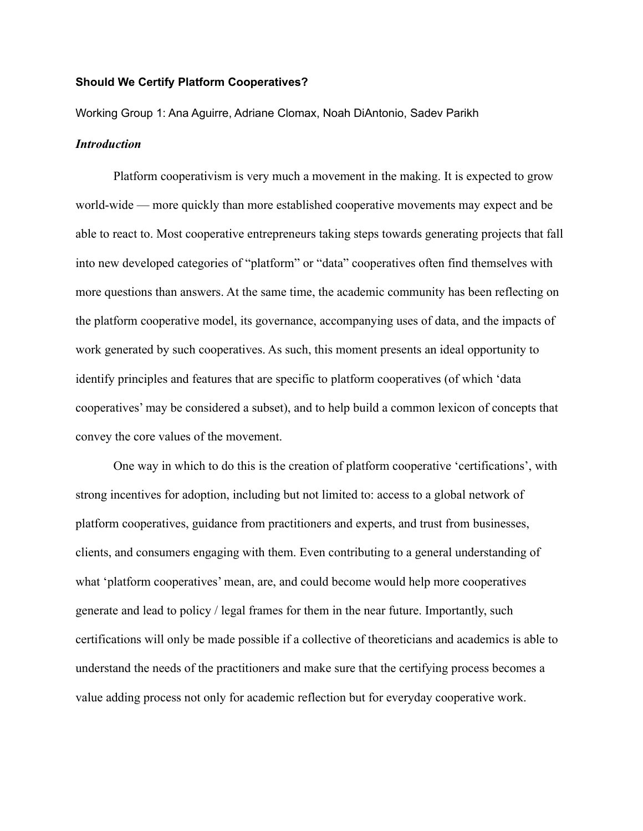#### **Should We Certify Platform Cooperatives?**

Working Group 1: Ana Aguirre, Adriane Clomax, Noah DiAntonio, Sadev Parikh

# *Introduction*

Platform cooperativism is very much a movement in the making. It is expected to grow world-wide — more quickly than more established cooperative movements may expect and be able to react to. Most cooperative entrepreneurs taking steps towards generating projects that fall into new developed categories of "platform" or "data" cooperatives often find themselves with more questions than answers. At the same time, the academic community has been reflecting on the platform cooperative model, its governance, accompanying uses of data, and the impacts of work generated by such cooperatives. As such, this moment presents an ideal opportunity to identify principles and features that are specific to platform cooperatives (of which 'data cooperatives' may be considered a subset), and to help build a common lexicon of concepts that convey the core values of the movement.

One way in which to do this is the creation of platform cooperative 'certifications', with strong incentives for adoption, including but not limited to: access to a global network of platform cooperatives, guidance from practitioners and experts, and trust from businesses, clients, and consumers engaging with them. Even contributing to a general understanding of what 'platform cooperatives' mean, are, and could become would help more cooperatives generate and lead to policy / legal frames for them in the near future. Importantly, such certifications will only be made possible if a collective of theoreticians and academics is able to understand the needs of the practitioners and make sure that the certifying process becomes a value adding process not only for academic reflection but for everyday cooperative work.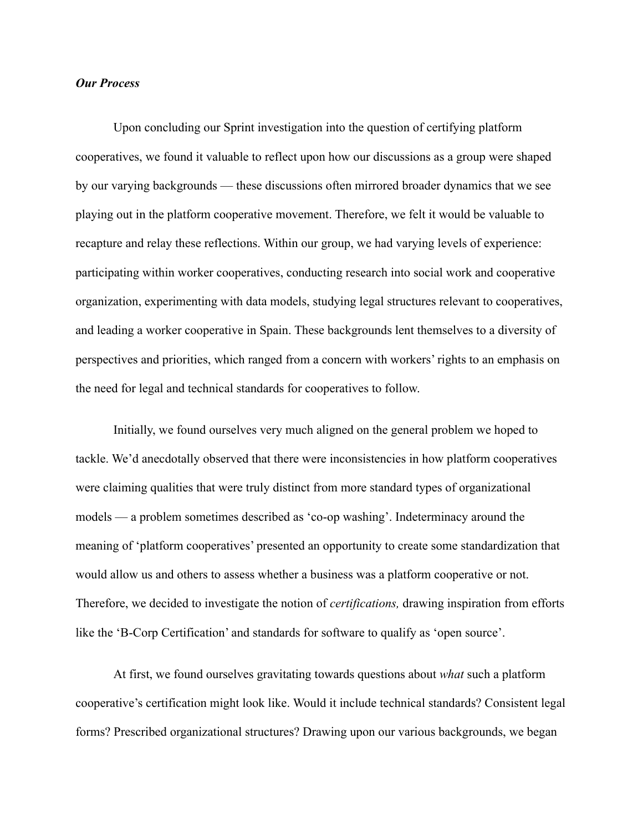## *Our Process*

Upon concluding our Sprint investigation into the question of certifying platform cooperatives, we found it valuable to reflect upon how our discussions as a group were shaped by our varying backgrounds — these discussions often mirrored broader dynamics that we see playing out in the platform cooperative movement. Therefore, we felt it would be valuable to recapture and relay these reflections. Within our group, we had varying levels of experience: participating within worker cooperatives, conducting research into social work and cooperative organization, experimenting with data models, studying legal structures relevant to cooperatives, and leading a worker cooperative in Spain. These backgrounds lent themselves to a diversity of perspectives and priorities, which ranged from a concern with workers' rights to an emphasis on the need for legal and technical standards for cooperatives to follow.

Initially, we found ourselves very much aligned on the general problem we hoped to tackle. We'd anecdotally observed that there were inconsistencies in how platform cooperatives were claiming qualities that were truly distinct from more standard types of organizational models — a problem sometimes described as 'co-op washing'. Indeterminacy around the meaning of 'platform cooperatives' presented an opportunity to create some standardization that would allow us and others to assess whether a business was a platform cooperative or not. Therefore, we decided to investigate the notion of *certifications,* drawing inspiration from efforts like the 'B-Corp Certification' and standards for software to qualify as 'open source'.

At first, we found ourselves gravitating towards questions about *what* such a platform cooperative's certification might look like. Would it include technical standards? Consistent legal forms? Prescribed organizational structures? Drawing upon our various backgrounds, we began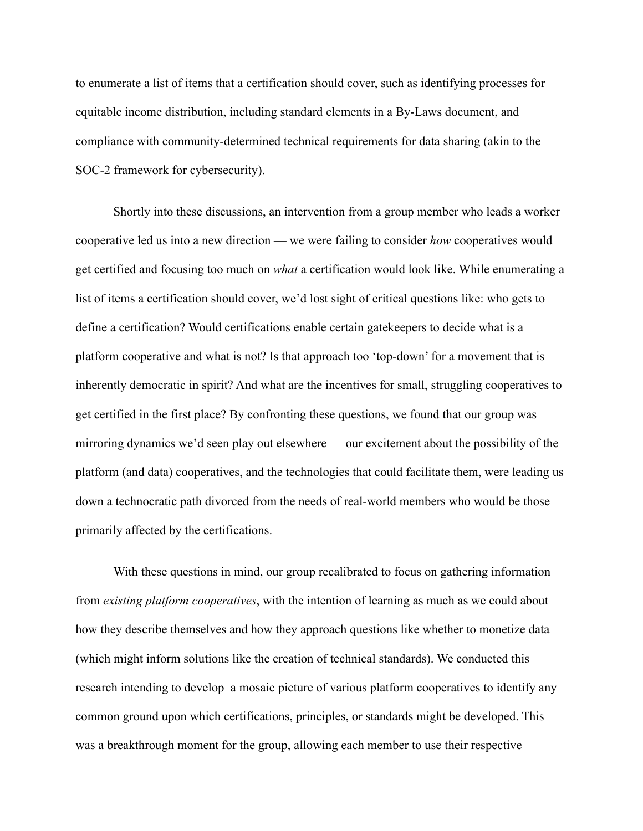to enumerate a list of items that a certification should cover, such as identifying processes for equitable income distribution, including standard elements in a By-Laws document, and compliance with community-determined technical requirements for data sharing (akin to the SOC-2 framework for cybersecurity).

Shortly into these discussions, an intervention from a group member who leads a worker cooperative led us into a new direction — we were failing to consider *how* cooperatives would get certified and focusing too much on *what* a certification would look like. While enumerating a list of items a certification should cover, we'd lost sight of critical questions like: who gets to define a certification? Would certifications enable certain gatekeepers to decide what is a platform cooperative and what is not? Is that approach too 'top-down' for a movement that is inherently democratic in spirit? And what are the incentives for small, struggling cooperatives to get certified in the first place? By confronting these questions, we found that our group was mirroring dynamics we'd seen play out elsewhere — our excitement about the possibility of the platform (and data) cooperatives, and the technologies that could facilitate them, were leading us down a technocratic path divorced from the needs of real-world members who would be those primarily affected by the certifications.

With these questions in mind, our group recalibrated to focus on gathering information from *existing platform cooperatives*, with the intention of learning as much as we could about how they describe themselves and how they approach questions like whether to monetize data (which might inform solutions like the creation of technical standards). We conducted this research intending to develop a mosaic picture of various platform cooperatives to identify any common ground upon which certifications, principles, or standards might be developed. This was a breakthrough moment for the group, allowing each member to use their respective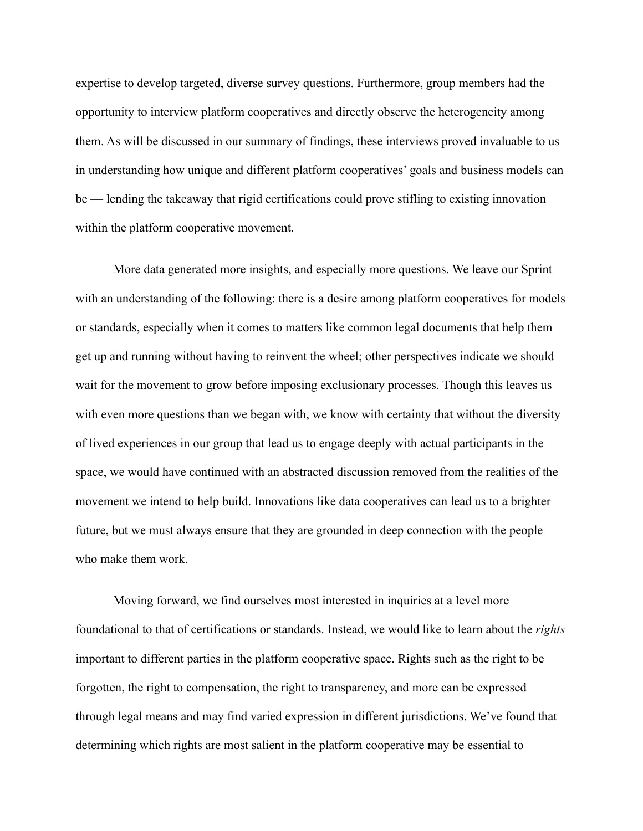expertise to develop targeted, diverse survey questions. Furthermore, group members had the opportunity to interview platform cooperatives and directly observe the heterogeneity among them. As will be discussed in our summary of findings, these interviews proved invaluable to us in understanding how unique and different platform cooperatives' goals and business models can be — lending the takeaway that rigid certifications could prove stifling to existing innovation within the platform cooperative movement.

More data generated more insights, and especially more questions. We leave our Sprint with an understanding of the following: there is a desire among platform cooperatives for models or standards, especially when it comes to matters like common legal documents that help them get up and running without having to reinvent the wheel; other perspectives indicate we should wait for the movement to grow before imposing exclusionary processes. Though this leaves us with even more questions than we began with, we know with certainty that without the diversity of lived experiences in our group that lead us to engage deeply with actual participants in the space, we would have continued with an abstracted discussion removed from the realities of the movement we intend to help build. Innovations like data cooperatives can lead us to a brighter future, but we must always ensure that they are grounded in deep connection with the people who make them work.

Moving forward, we find ourselves most interested in inquiries at a level more foundational to that of certifications or standards. Instead, we would like to learn about the *rights* important to different parties in the platform cooperative space. Rights such as the right to be forgotten, the right to compensation, the right to transparency, and more can be expressed through legal means and may find varied expression in different jurisdictions. We've found that determining which rights are most salient in the platform cooperative may be essential to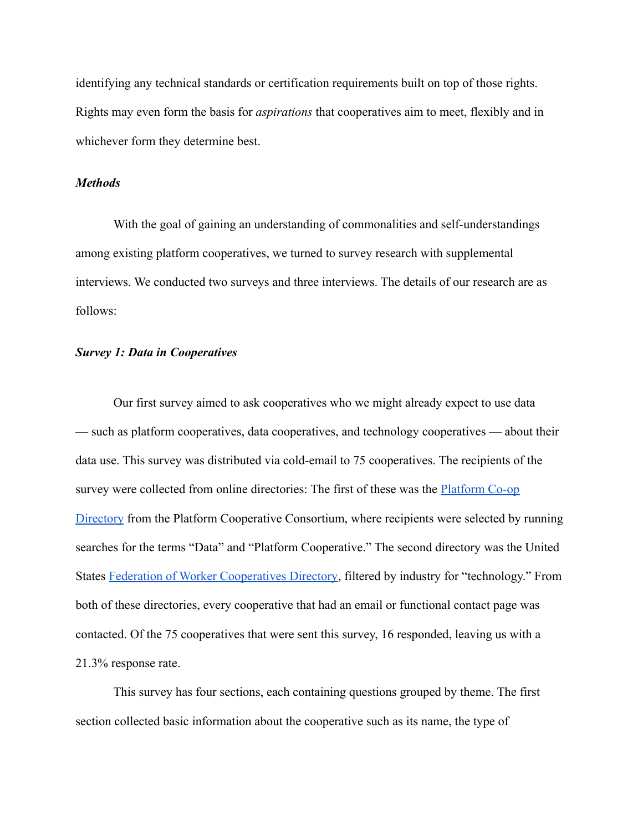identifying any technical standards or certification requirements built on top of those rights. Rights may even form the basis for *aspirations* that cooperatives aim to meet, flexibly and in whichever form they determine best.

## *Methods*

With the goal of gaining an understanding of commonalities and self-understandings among existing platform cooperatives, we turned to survey research with supplemental interviews. We conducted two surveys and three interviews. The details of our research are as follows:

## *Survey 1: Data in Cooperatives*

Our first survey aimed to ask cooperatives who we might already expect to use data — such as platform cooperatives, data cooperatives, and technology cooperatives — about their data use. This survey was distributed via cold-email to 75 cooperatives. The recipients of the survey were collected from online directories: The first of these was the **[Platform Co-op](https://directory.platform.coop/#2.52/7.28/176.4)** [Directory](https://directory.platform.coop/#2.52/7.28/176.4) from the Platform Cooperative Consortium, where recipients were selected by running searches for the terms "Data" and "Platform Cooperative." The second directory was the United States [Federation of Worker Cooperatives Directory,](https://www.usworker.coop/member-directory/) filtered by industry for "technology." From both of these directories, every cooperative that had an email or functional contact page was contacted. Of the 75 cooperatives that were sent this survey, 16 responded, leaving us with a 21.3% response rate.

This survey has four sections, each containing questions grouped by theme. The first section collected basic information about the cooperative such as its name, the type of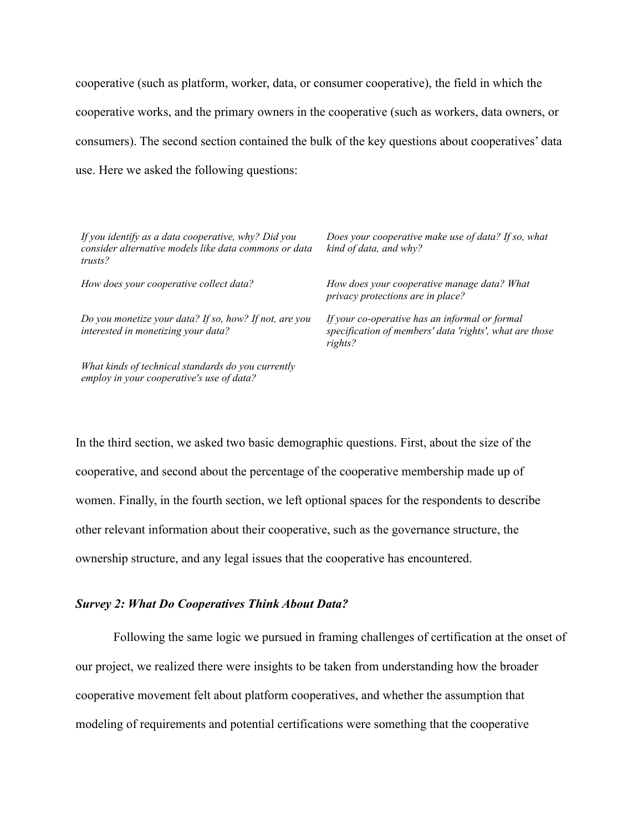cooperative (such as platform, worker, data, or consumer cooperative), the field in which the cooperative works, and the primary owners in the cooperative (such as workers, data owners, or consumers). The second section contained the bulk of the key questions about cooperatives' data use. Here we asked the following questions:

| If you identify as a data cooperative, why? Did you<br>consider alternative models like data commons or data<br>trusts? | Does your cooperative make use of data? If so, what<br>kind of data, and why?                                        |
|-------------------------------------------------------------------------------------------------------------------------|----------------------------------------------------------------------------------------------------------------------|
| How does your cooperative collect data?                                                                                 | How does your cooperative manage data? What<br>privacy protections are in place?                                     |
| Do you monetize your data? If so, how? If not, are you<br>interested in monetizing your data?                           | If your co-operative has an informal or formal<br>specification of members' data 'rights', what are those<br>rights? |
| What kinds of technical standards do you currently<br>employ in your cooperative's use of data?                         |                                                                                                                      |

In the third section, we asked two basic demographic questions. First, about the size of the cooperative, and second about the percentage of the cooperative membership made up of women. Finally, in the fourth section, we left optional spaces for the respondents to describe other relevant information about their cooperative, such as the governance structure, the ownership structure, and any legal issues that the cooperative has encountered.

#### *Survey 2: What Do Cooperatives Think About Data?*

Following the same logic we pursued in framing challenges of certification at the onset of our project, we realized there were insights to be taken from understanding how the broader cooperative movement felt about platform cooperatives, and whether the assumption that modeling of requirements and potential certifications were something that the cooperative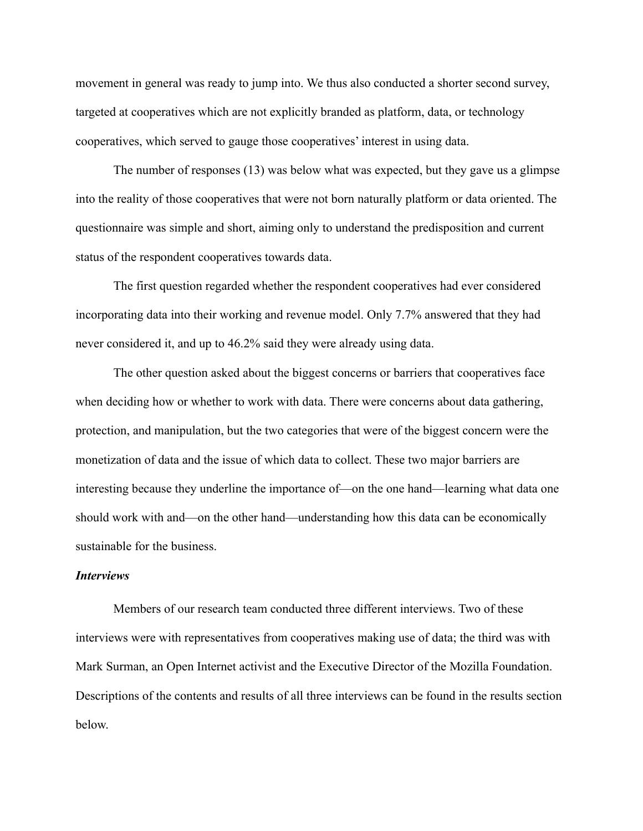movement in general was ready to jump into. We thus also conducted a shorter second survey, targeted at cooperatives which are not explicitly branded as platform, data, or technology cooperatives, which served to gauge those cooperatives' interest in using data.

The number of responses (13) was below what was expected, but they gave us a glimpse into the reality of those cooperatives that were not born naturally platform or data oriented. The questionnaire was simple and short, aiming only to understand the predisposition and current status of the respondent cooperatives towards data.

The first question regarded whether the respondent cooperatives had ever considered incorporating data into their working and revenue model. Only 7.7% answered that they had never considered it, and up to 46.2% said they were already using data.

The other question asked about the biggest concerns or barriers that cooperatives face when deciding how or whether to work with data. There were concerns about data gathering, protection, and manipulation, but the two categories that were of the biggest concern were the monetization of data and the issue of which data to collect. These two major barriers are interesting because they underline the importance of—on the one hand—learning what data one should work with and—on the other hand—understanding how this data can be economically sustainable for the business.

## *Interviews*

Members of our research team conducted three different interviews. Two of these interviews were with representatives from cooperatives making use of data; the third was with Mark Surman, an Open Internet activist and the Executive Director of the Mozilla Foundation. Descriptions of the contents and results of all three interviews can be found in the results section below.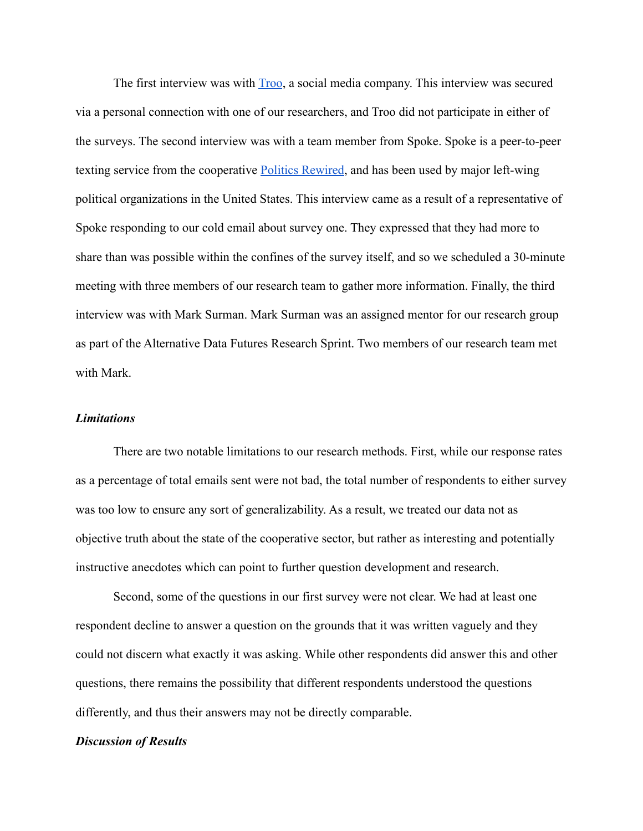The first interview was with **[Troo](https://troo.co/)**, a social media company. This interview was secured via a personal connection with one of our researchers, and Troo did not participate in either of the surveys. The second interview was with a team member from Spoke. Spoke is a peer-to-peer texting service from the cooperative [Politics Rewired,](https://politicsrewired.com/) and has been used by major left-wing political organizations in the United States. This interview came as a result of a representative of Spoke responding to our cold email about survey one. They expressed that they had more to share than was possible within the confines of the survey itself, and so we scheduled a 30-minute meeting with three members of our research team to gather more information. Finally, the third interview was with Mark Surman. Mark Surman was an assigned mentor for our research group as part of the Alternative Data Futures Research Sprint. Two members of our research team met with Mark.

## *Limitations*

There are two notable limitations to our research methods. First, while our response rates as a percentage of total emails sent were not bad, the total number of respondents to either survey was too low to ensure any sort of generalizability. As a result, we treated our data not as objective truth about the state of the cooperative sector, but rather as interesting and potentially instructive anecdotes which can point to further question development and research.

Second, some of the questions in our first survey were not clear. We had at least one respondent decline to answer a question on the grounds that it was written vaguely and they could not discern what exactly it was asking. While other respondents did answer this and other questions, there remains the possibility that different respondents understood the questions differently, and thus their answers may not be directly comparable.

## *Discussion of Results*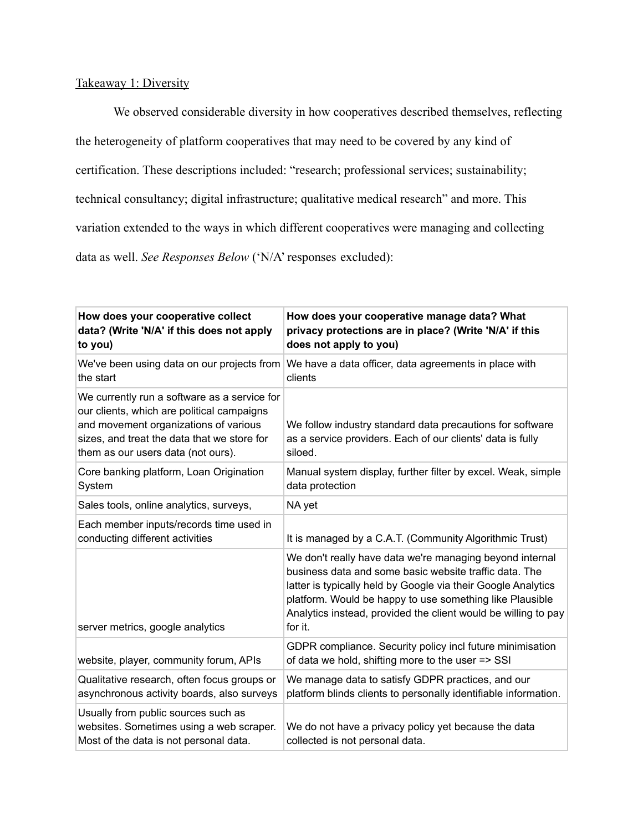# Takeaway 1: Diversity

We observed considerable diversity in how cooperatives described themselves, reflecting the heterogeneity of platform cooperatives that may need to be covered by any kind of certification. These descriptions included: "research; professional services; sustainability; technical consultancy; digital infrastructure; qualitative medical research" and more. This variation extended to the ways in which different cooperatives were managing and collecting data as well. *See Responses Below* ('N/A' responses excluded):

| How does your cooperative collect<br>data? (Write 'N/A' if this does not apply<br>to you)                                                                                                                                | How does your cooperative manage data? What<br>privacy protections are in place? (Write 'N/A' if this<br>does not apply to you)                                                                                                                                                                                              |
|--------------------------------------------------------------------------------------------------------------------------------------------------------------------------------------------------------------------------|------------------------------------------------------------------------------------------------------------------------------------------------------------------------------------------------------------------------------------------------------------------------------------------------------------------------------|
| the start                                                                                                                                                                                                                | We've been using data on our projects from We have a data officer, data agreements in place with<br>clients                                                                                                                                                                                                                  |
| We currently run a software as a service for<br>our clients, which are political campaigns<br>and movement organizations of various<br>sizes, and treat the data that we store for<br>them as our users data (not ours). | We follow industry standard data precautions for software<br>as a service providers. Each of our clients' data is fully<br>siloed.                                                                                                                                                                                           |
| Core banking platform, Loan Origination<br>System                                                                                                                                                                        | Manual system display, further filter by excel. Weak, simple<br>data protection                                                                                                                                                                                                                                              |
| Sales tools, online analytics, surveys,                                                                                                                                                                                  | NA yet                                                                                                                                                                                                                                                                                                                       |
| Each member inputs/records time used in<br>conducting different activities                                                                                                                                               | It is managed by a C.A.T. (Community Algorithmic Trust)                                                                                                                                                                                                                                                                      |
| server metrics, google analytics                                                                                                                                                                                         | We don't really have data we're managing beyond internal<br>business data and some basic website traffic data. The<br>latter is typically held by Google via their Google Analytics<br>platform. Would be happy to use something like Plausible<br>Analytics instead, provided the client would be willing to pay<br>for it. |
| website, player, community forum, APIs                                                                                                                                                                                   | GDPR compliance. Security policy incl future minimisation<br>of data we hold, shifting more to the user => SSI                                                                                                                                                                                                               |
| Qualitative research, often focus groups or<br>asynchronous activity boards, also surveys                                                                                                                                | We manage data to satisfy GDPR practices, and our<br>platform blinds clients to personally identifiable information.                                                                                                                                                                                                         |
| Usually from public sources such as<br>websites. Sometimes using a web scraper.<br>Most of the data is not personal data.                                                                                                | We do not have a privacy policy yet because the data<br>collected is not personal data.                                                                                                                                                                                                                                      |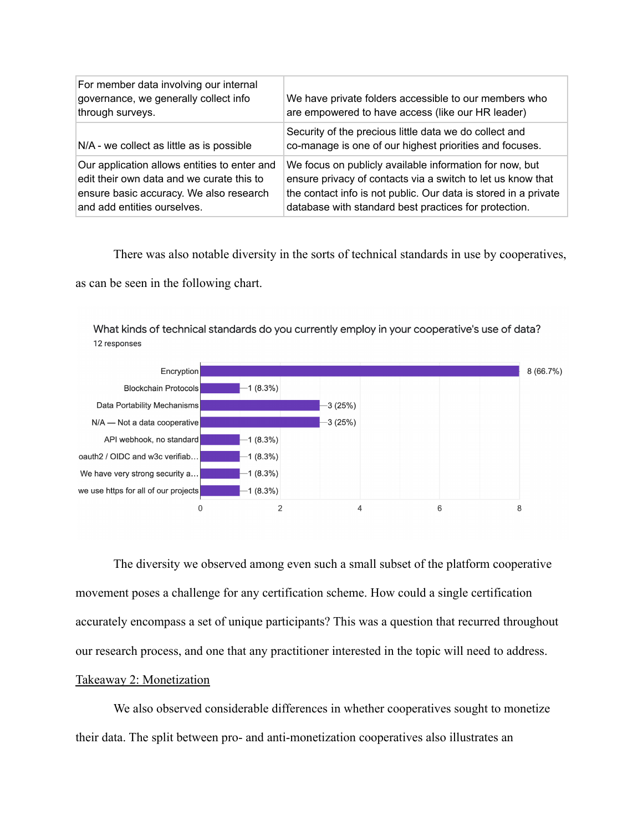| For member data involving our internal<br>governance, we generally collect info<br>through surveys.                                                                 | We have private folders accessible to our members who<br>are empowered to have access (like our HR leader)                                                                                                                                         |
|---------------------------------------------------------------------------------------------------------------------------------------------------------------------|----------------------------------------------------------------------------------------------------------------------------------------------------------------------------------------------------------------------------------------------------|
| $N/A$ - we collect as little as is possible                                                                                                                         | Security of the precious little data we do collect and<br>co-manage is one of our highest priorities and focuses.                                                                                                                                  |
| Our application allows entities to enter and<br>edit their own data and we curate this to<br>ensure basic accuracy. We also research<br>and add entities ourselves. | We focus on publicly available information for now, but<br>ensure privacy of contacts via a switch to let us know that<br>the contact info is not public. Our data is stored in a private<br>database with standard best practices for protection. |

There was also notable diversity in the sorts of technical standards in use by cooperatives,

as can be seen in the following chart.

What kinds of technical standards do you currently employ in your cooperative's use of data? 12 responses



The diversity we observed among even such a small subset of the platform cooperative movement poses a challenge for any certification scheme. How could a single certification accurately encompass a set of unique participants? This was a question that recurred throughout our research process, and one that any practitioner interested in the topic will need to address. Takeaway 2: Monetization

We also observed considerable differences in whether cooperatives sought to monetize their data. The split between pro- and anti-monetization cooperatives also illustrates an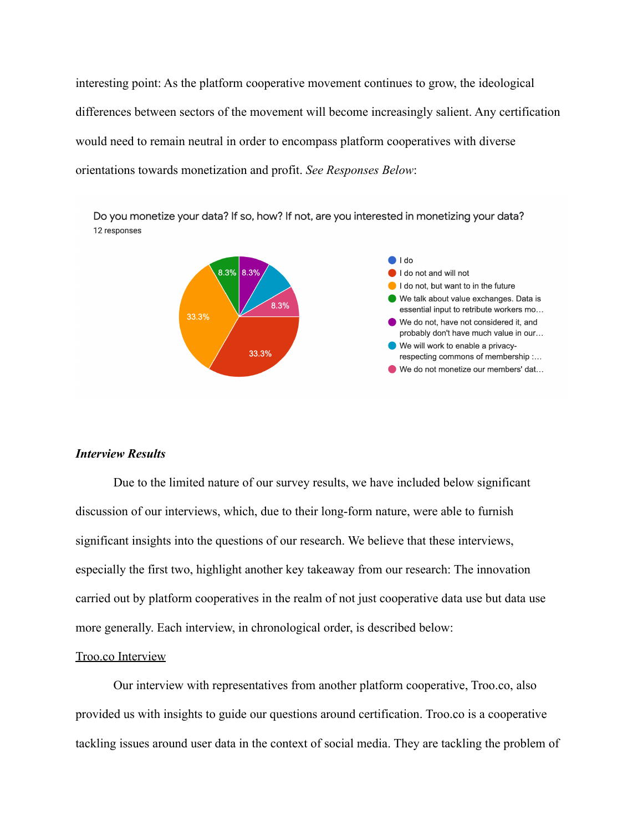interesting point: As the platform cooperative movement continues to grow, the ideological differences between sectors of the movement will become increasingly salient. Any certification would need to remain neutral in order to encompass platform cooperatives with diverse orientations towards monetization and profit. *See Responses Below*:

Do you monetize your data? If so, how? If not, are you interested in monetizing your data? 12 responses



### *Interview Results*

Due to the limited nature of our survey results, we have included below significant discussion of our interviews, which, due to their long-form nature, were able to furnish significant insights into the questions of our research. We believe that these interviews, especially the first two, highlight another key takeaway from our research: The innovation carried out by platform cooperatives in the realm of not just cooperative data use but data use more generally. Each interview, in chronological order, is described below:

#### Troo.co Interview

Our interview with representatives from another platform cooperative, Troo.co, also provided us with insights to guide our questions around certification. Troo.co is a cooperative tackling issues around user data in the context of social media. They are tackling the problem of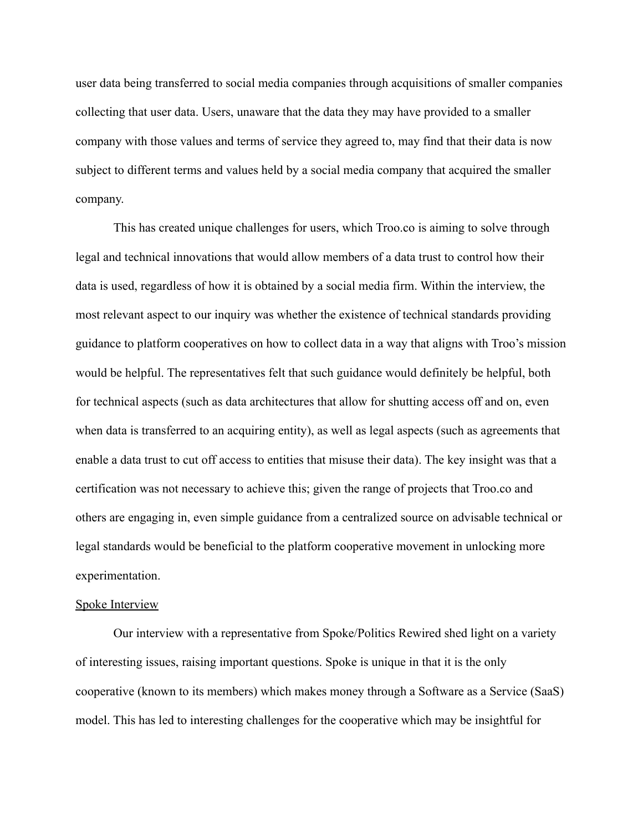user data being transferred to social media companies through acquisitions of smaller companies collecting that user data. Users, unaware that the data they may have provided to a smaller company with those values and terms of service they agreed to, may find that their data is now subject to different terms and values held by a social media company that acquired the smaller company.

This has created unique challenges for users, which Troo.co is aiming to solve through legal and technical innovations that would allow members of a data trust to control how their data is used, regardless of how it is obtained by a social media firm. Within the interview, the most relevant aspect to our inquiry was whether the existence of technical standards providing guidance to platform cooperatives on how to collect data in a way that aligns with Troo's mission would be helpful. The representatives felt that such guidance would definitely be helpful, both for technical aspects (such as data architectures that allow for shutting access off and on, even when data is transferred to an acquiring entity), as well as legal aspects (such as agreements that enable a data trust to cut off access to entities that misuse their data). The key insight was that a certification was not necessary to achieve this; given the range of projects that Troo.co and others are engaging in, even simple guidance from a centralized source on advisable technical or legal standards would be beneficial to the platform cooperative movement in unlocking more experimentation.

#### Spoke Interview

Our interview with a representative from Spoke/Politics Rewired shed light on a variety of interesting issues, raising important questions. Spoke is unique in that it is the only cooperative (known to its members) which makes money through a Software as a Service (SaaS) model. This has led to interesting challenges for the cooperative which may be insightful for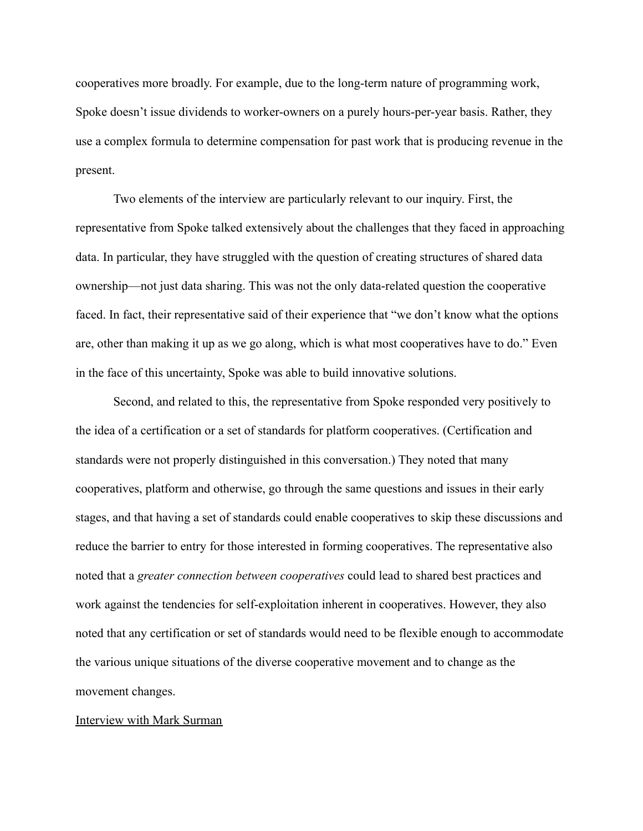cooperatives more broadly. For example, due to the long-term nature of programming work, Spoke doesn't issue dividends to worker-owners on a purely hours-per-year basis. Rather, they use a complex formula to determine compensation for past work that is producing revenue in the present.

Two elements of the interview are particularly relevant to our inquiry. First, the representative from Spoke talked extensively about the challenges that they faced in approaching data. In particular, they have struggled with the question of creating structures of shared data ownership—not just data sharing. This was not the only data-related question the cooperative faced. In fact, their representative said of their experience that "we don't know what the options are, other than making it up as we go along, which is what most cooperatives have to do." Even in the face of this uncertainty, Spoke was able to build innovative solutions.

Second, and related to this, the representative from Spoke responded very positively to the idea of a certification or a set of standards for platform cooperatives. (Certification and standards were not properly distinguished in this conversation.) They noted that many cooperatives, platform and otherwise, go through the same questions and issues in their early stages, and that having a set of standards could enable cooperatives to skip these discussions and reduce the barrier to entry for those interested in forming cooperatives. The representative also noted that a *greater connection between cooperatives* could lead to shared best practices and work against the tendencies for self-exploitation inherent in cooperatives. However, they also noted that any certification or set of standards would need to be flexible enough to accommodate the various unique situations of the diverse cooperative movement and to change as the movement changes.

#### Interview with Mark Surman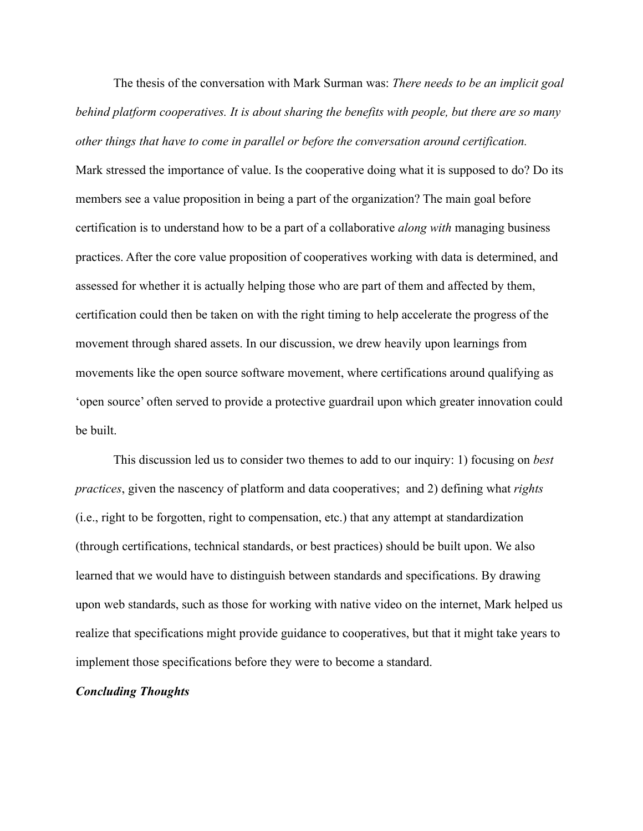The thesis of the conversation with Mark Surman was: *There needs to be an implicit goal behind platform cooperatives. It is about sharing the benefits with people, but there are so many other things that have to come in parallel or before the conversation around certification.*

Mark stressed the importance of value. Is the cooperative doing what it is supposed to do? Do its members see a value proposition in being a part of the organization? The main goal before certification is to understand how to be a part of a collaborative *along with* managing business practices. After the core value proposition of cooperatives working with data is determined, and assessed for whether it is actually helping those who are part of them and affected by them, certification could then be taken on with the right timing to help accelerate the progress of the movement through shared assets. In our discussion, we drew heavily upon learnings from movements like the open source software movement, where certifications around qualifying as 'open source' often served to provide a protective guardrail upon which greater innovation could be built.

This discussion led us to consider two themes to add to our inquiry: 1) focusing on *best practices*, given the nascency of platform and data cooperatives; and 2) defining what *rights* (i.e., right to be forgotten, right to compensation, etc.) that any attempt at standardization (through certifications, technical standards, or best practices) should be built upon. We also learned that we would have to distinguish between standards and specifications. By drawing upon web standards, such as those for working with native video on the internet, Mark helped us realize that specifications might provide guidance to cooperatives, but that it might take years to implement those specifications before they were to become a standard.

#### *Concluding Thoughts*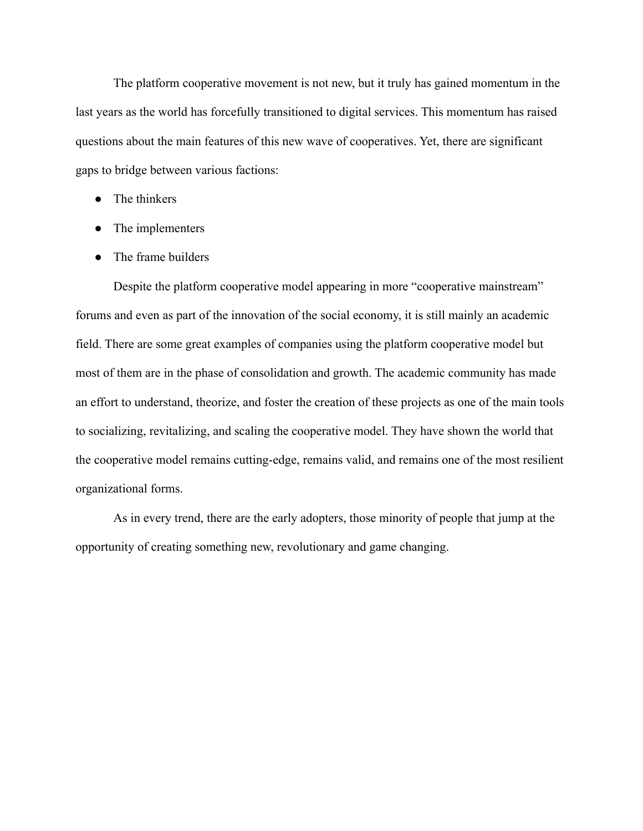The platform cooperative movement is not new, but it truly has gained momentum in the last years as the world has forcefully transitioned to digital services. This momentum has raised questions about the main features of this new wave of cooperatives. Yet, there are significant gaps to bridge between various factions:

- The thinkers
- The implementers
- The frame builders

Despite the platform cooperative model appearing in more "cooperative mainstream" forums and even as part of the innovation of the social economy, it is still mainly an academic field. There are some great examples of companies using the platform cooperative model but most of them are in the phase of consolidation and growth. The academic community has made an effort to understand, theorize, and foster the creation of these projects as one of the main tools to socializing, revitalizing, and scaling the cooperative model. They have shown the world that the cooperative model remains cutting-edge, remains valid, and remains one of the most resilient organizational forms.

As in every trend, there are the early adopters, those minority of people that jump at the opportunity of creating something new, revolutionary and game changing.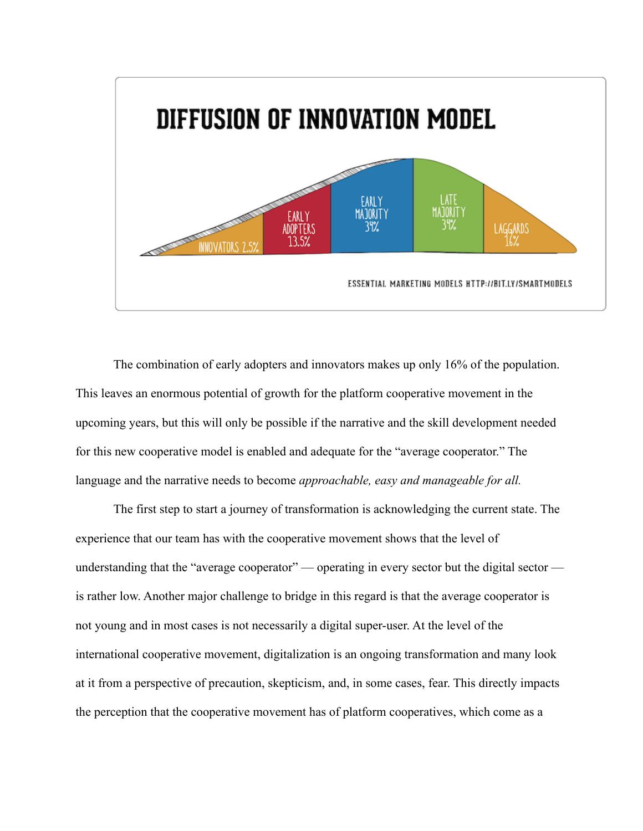

The combination of early adopters and innovators makes up only 16% of the population. This leaves an enormous potential of growth for the platform cooperative movement in the upcoming years, but this will only be possible if the narrative and the skill development needed for this new cooperative model is enabled and adequate for the "average cooperator." The language and the narrative needs to become *approachable, easy and manageable for all.*

The first step to start a journey of transformation is acknowledging the current state. The experience that our team has with the cooperative movement shows that the level of understanding that the "average cooperator" — operating in every sector but the digital sector is rather low. Another major challenge to bridge in this regard is that the average cooperator is not young and in most cases is not necessarily a digital super-user. At the level of the international cooperative movement, digitalization is an ongoing transformation and many look at it from a perspective of precaution, skepticism, and, in some cases, fear. This directly impacts the perception that the cooperative movement has of platform cooperatives, which come as a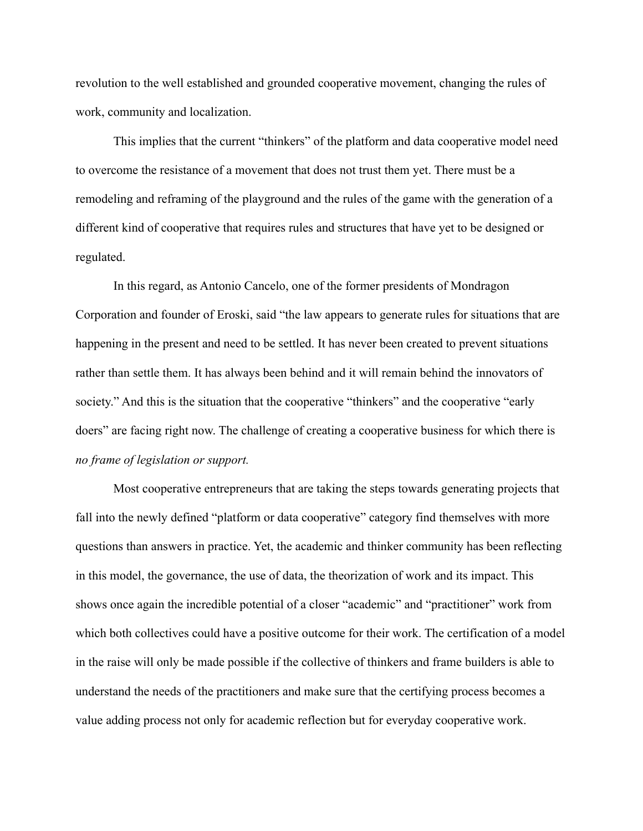revolution to the well established and grounded cooperative movement, changing the rules of work, community and localization.

This implies that the current "thinkers" of the platform and data cooperative model need to overcome the resistance of a movement that does not trust them yet. There must be a remodeling and reframing of the playground and the rules of the game with the generation of a different kind of cooperative that requires rules and structures that have yet to be designed or regulated.

In this regard, as Antonio Cancelo, one of the former presidents of Mondragon Corporation and founder of Eroski, said "the law appears to generate rules for situations that are happening in the present and need to be settled. It has never been created to prevent situations rather than settle them. It has always been behind and it will remain behind the innovators of society." And this is the situation that the cooperative "thinkers" and the cooperative "early doers" are facing right now. The challenge of creating a cooperative business for which there is *no frame of legislation or support.*

Most cooperative entrepreneurs that are taking the steps towards generating projects that fall into the newly defined "platform or data cooperative" category find themselves with more questions than answers in practice. Yet, the academic and thinker community has been reflecting in this model, the governance, the use of data, the theorization of work and its impact. This shows once again the incredible potential of a closer "academic" and "practitioner" work from which both collectives could have a positive outcome for their work. The certification of a model in the raise will only be made possible if the collective of thinkers and frame builders is able to understand the needs of the practitioners and make sure that the certifying process becomes a value adding process not only for academic reflection but for everyday cooperative work.